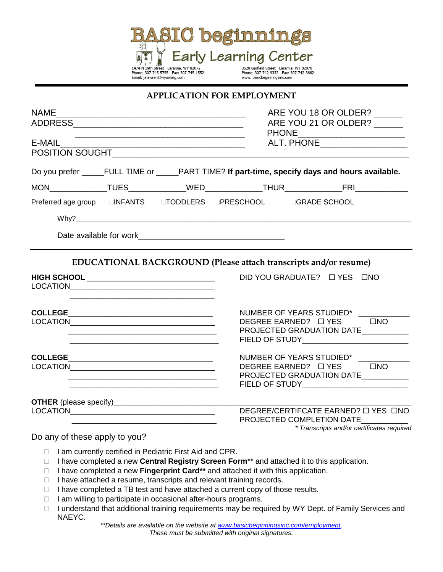

## **APPLICATION FOR EMPLOYMENT**

| <b>NAME</b>                                   |  | ARE YOU 18 OR OLDER? ______                                                                     |                              |                                                                                  |  |  |
|-----------------------------------------------|--|-------------------------------------------------------------------------------------------------|------------------------------|----------------------------------------------------------------------------------|--|--|
|                                               |  | ARE YOU 21 OR OLDER? ______                                                                     |                              |                                                                                  |  |  |
|                                               |  | PHONE__________________________<br>ALT. PHONE ____________________                              |                              |                                                                                  |  |  |
|                                               |  | Do you prefer _____FULL TIME or _____PART TIME? If part-time, specify days and hours available. |                              |                                                                                  |  |  |
|                                               |  |                                                                                                 |                              |                                                                                  |  |  |
|                                               |  | Preferred age group □INFANTS □TODDLERS □PRESCHOOL □GRADE SCHOOL                                 |                              |                                                                                  |  |  |
|                                               |  |                                                                                                 |                              |                                                                                  |  |  |
|                                               |  |                                                                                                 |                              |                                                                                  |  |  |
|                                               |  |                                                                                                 |                              |                                                                                  |  |  |
|                                               |  | EDUCATIONAL BACKGROUND (Please attach transcripts and/or resume)                                |                              |                                                                                  |  |  |
| HIGH SCHOOL _________________________________ |  |                                                                                                 | DID YOU GRADUATE? O YES ONO  |                                                                                  |  |  |
|                                               |  |                                                                                                 |                              |                                                                                  |  |  |
|                                               |  |                                                                                                 | NUMBER OF YEARS STUDIED* ___ |                                                                                  |  |  |
|                                               |  |                                                                                                 | DEGREE EARNED? □ YES □ NO    |                                                                                  |  |  |
|                                               |  |                                                                                                 |                              | PROJECTED GRADUATION DATE__________<br>FIELD OF STUDY___________________________ |  |  |
|                                               |  |                                                                                                 |                              |                                                                                  |  |  |
|                                               |  |                                                                                                 | DEGREE EARNED? O YES ONO     | NUMBER OF YEARS STUDIED* ___________                                             |  |  |
|                                               |  |                                                                                                 |                              | PROJECTED GRADUATION DATE___________                                             |  |  |
|                                               |  |                                                                                                 |                              | FIELD OF STUDY___________________________                                        |  |  |
|                                               |  |                                                                                                 |                              | DEGREE/CERTIFCATE EARNED? O YES ONO                                              |  |  |
|                                               |  |                                                                                                 | PROJECTED COMPLETION DATE    |                                                                                  |  |  |
|                                               |  |                                                                                                 |                              | * Transcripts and/or certificates required                                       |  |  |

## Do any of these apply to you?

- $\Box$  I am currently certified in Pediatric First Aid and CPR.
- □ I have completed a new **Central Registry Screen Form**\*\* and attached it to this application.
- □ I have completed a new **Fingerprint Card\*\*** and attached it with this application.
- $\Box$  I have attached a resume, transcripts and relevant training records.
- $\Box$  I have completed a TB test and have attached a current copy of those results.
- $\Box$  I am willing to participate in occasional after-hours programs.
- □ I understand that additional training requirements may be required by WY Dept. of Family Services and NAEYC.

*\*\*Details are available on the website at [www.basicbeginningsinc.com/employment.](http://www.basicbeginningsinc.com/employment) These must be submitted with original signatures.*